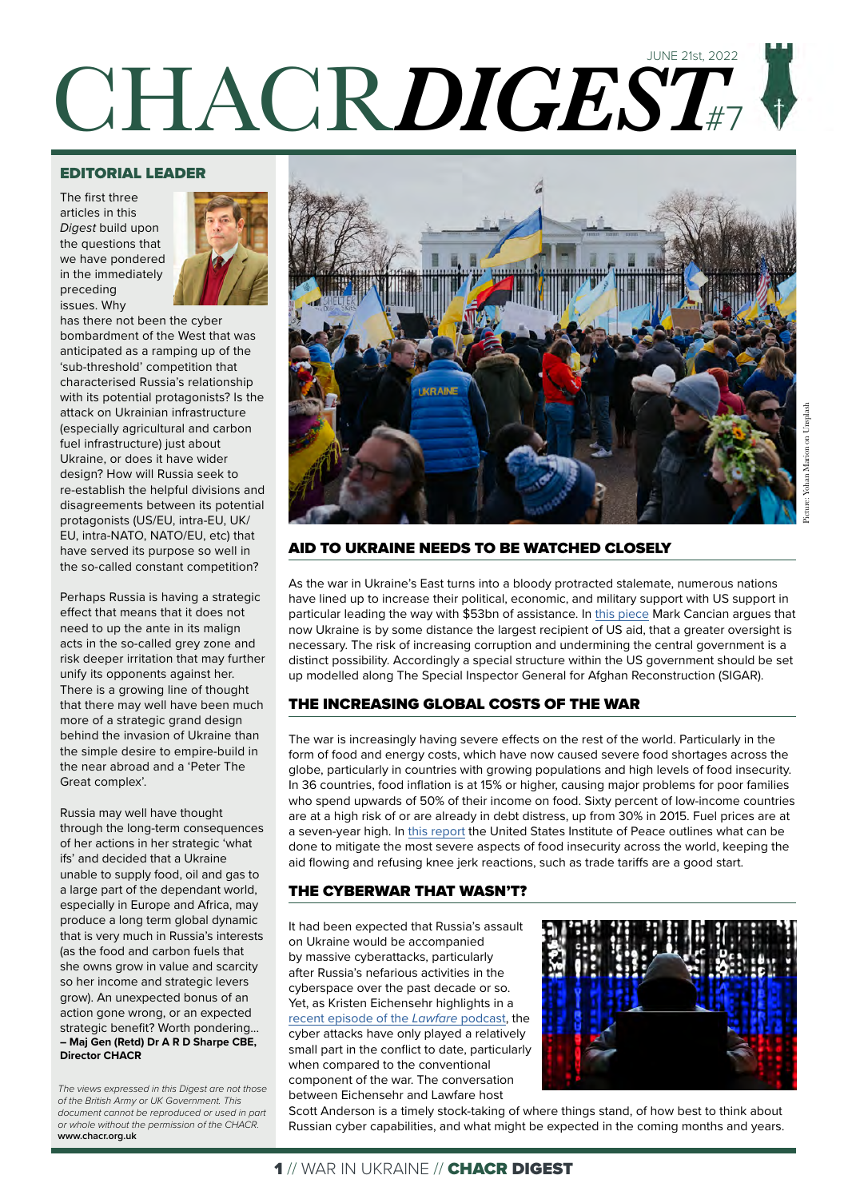# CHACR*DIGEST*#7 JUNE 21st, 2022

#### EDITORIAL LEADER

The first three articles in this *Digest* build upon the questions that we have pondered in the immediately preceding issues. Why



has there not been the cyber bombardment of the West that was anticipated as a ramping up of the 'sub-threshold' competition that characterised Russia's relationship with its potential protagonists? Is the attack on Ukrainian infrastructure (especially agricultural and carbon fuel infrastructure) just about Ukraine, or does it have wider design? How will Russia seek to re-establish the helpful divisions and disagreements between its potential protagonists (US/EU, intra-EU, UK/ EU, intra-NATO, NATO/EU, etc) that have served its purpose so well in the so-called constant competition?

Perhaps Russia is having a strategic effect that means that it does not need to up the ante in its malign acts in the so-called grey zone and risk deeper irritation that may further unify its opponents against her. There is a growing line of thought that there may well have been much more of a strategic grand design behind the invasion of Ukraine than the simple desire to empire-build in the near abroad and a 'Peter The Great complex'.

Russia may well have thought through the long-term consequences of her actions in her strategic 'what ifs' and decided that a Ukraine unable to supply food, oil and gas to a large part of the dependant world, especially in Europe and Africa, may produce a long term global dynamic that is very much in Russia's interests (as the food and carbon fuels that she owns grow in value and scarcity so her income and strategic levers grow). An unexpected bonus of an action gone wrong, or an expected strategic benefit? Worth pondering... **– Maj Gen (Retd) Dr A R D Sharpe CBE, Director CHACR**

*The views expressed in this Digest are not those of the British Army or UK Government. This document cannot be reproduced or used in part or whole without the permission of the CHACR.*  **www.chacr.org.uk**



#### AID TO UKRAINE NEEDS TO BE WATCHED CLOSELY

As the war in Ukraine's East turns into a bloody protracted stalemate, numerous nations have lined up to increase their political, economic, and military support with US support in particular leading the way with \$53bn of assistance. In [this piece](https://www.csis.org/analysis/aid-ukraine-requires-increased-oversight) Mark Cancian argues that now Ukraine is by some distance the largest recipient of US aid, that a greater oversight is necessary. The risk of increasing corruption and undermining the central government is a distinct possibility. Accordingly a special structure within the US government should be set up modelled along The Special Inspector General for Afghan Reconstruction (SIGAR).

## THE INCREASING GLOBAL COSTS OF THE WAR

The war is increasingly having severe effects on the rest of the world. Particularly in the form of food and energy costs, which have now caused severe food shortages across the globe, particularly in countries with growing populations and high levels of food insecurity. In 36 countries, food inflation is at 15% or higher, causing major problems for poor families who spend upwards of 50% of their income on food. Sixty percent of low-income countries are at a high risk of or are already in debt distress, up from 30% in 2015. Fuel prices are at a seven-year high. In [this report](https://www.usip.org/publications/2022/05/ukraine-war-deepening-global-food-insecurity-what-can-be-done) the United States Institute of Peace outlines what can be done to mitigate the most severe aspects of food insecurity across the world, keeping the aid flowing and refusing knee jerk reactions, such as trade tariffs are a good start.

#### THE CYBERWAR THAT WASN'T?

It had been expected that Russia's assault on Ukraine would be accompanied by massive cyberattacks, particularly after Russia's nefarious activities in the cyberspace over the past decade or so. Yet, as Kristen Eichensehr highlights in a [recent episode of the](https://www.lawfareblog.com/lawfare-podcast-kristen-eichensehr-cyberwar-wasnt-ukraine) *Lawfare* podcast, the cyber attacks have only played a relatively small part in the conflict to date, particularly when compared to the conventional component of the war. The conversation between Eichensehr and Lawfare host



Scott Anderson is a timely stock-taking of where things stand, of how best to think about Russian cyber capabilities, and what might be expected in the coming months and years.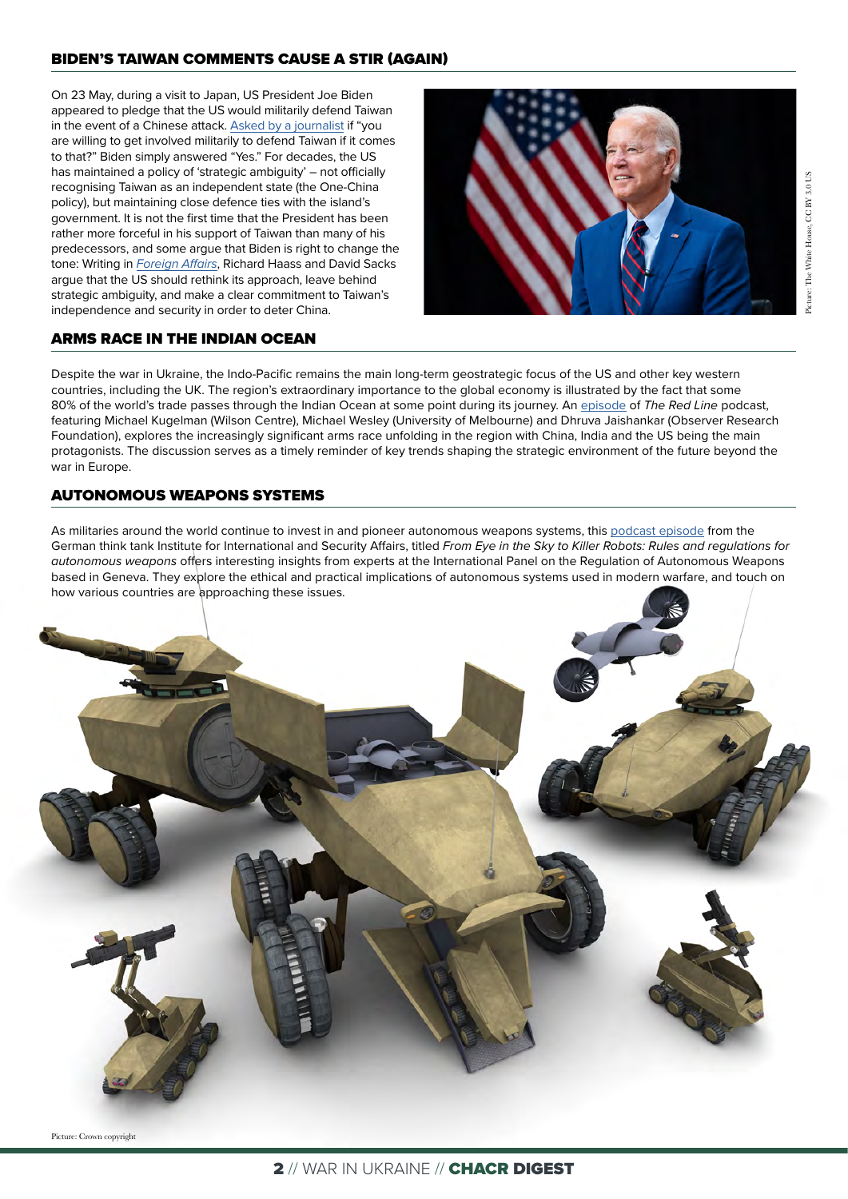#### BIDEN'S TAIWAN COMMENTS CAUSE A STIR (AGAIN)

On 23 May, during a visit to Japan, US President Joe Biden appeared to pledge that the US would militarily defend Taiwan in the event of a Chinese attack. [Asked by a journalist](https://www.nytimes.com/2022/05/23/world/asia/biden-taiwan-china.html) if "you are willing to get involved militarily to defend Taiwan if it comes to that?" Biden simply answered "Yes." For decades, the US has maintained a policy of 'strategic ambiguity' – not officially recognising Taiwan as an independent state (the One-China policy), but maintaining close defence ties with the island's government. It is not the first time that the President has been rather more forceful in his support of Taiwan than many of his predecessors, and some argue that Biden is right to change the tone: Writing in *[Foreign Affairs](https://www.foreignaffairs.com/articles/united-states/american-support-taiwan-must-be-unambiguous)*, Richard Haass and David Sacks argue that the US should rethink its approach, leave behind strategic ambiguity, and make a clear commitment to Taiwan's independence and security in order to deter China.



#### ARMS RACE IN THE INDIAN OCEAN

Despite the war in Ukraine, the Indo-Pacific remains the main long-term geostrategic focus of the US and other key western countries, including the UK. The region's extraordinary importance to the global economy is illustrated by the fact that some 80% of the world's trade passes through the Indian Ocean at some point during its journey. An [episode](https://podcasts.apple.com/us/podcast/71-the-new-arms-race-for-the-indian-ocean/id1482715810?i=1000566154014) of *The Red Line* podcast, featuring Michael Kugelman (Wilson Centre), Michael Wesley (University of Melbourne) and Dhruva Jaishankar (Observer Research Foundation), explores the increasingly significant arms race unfolding in the region with China, India and the US being the main protagonists. The discussion serves as a timely reminder of key trends shaping the strategic environment of the future beyond the war in Europe.

#### AUTONOMOUS WEAPONS SYSTEMS

As militaries around the world continue to invest in and pioneer autonomous weapons systems, this [podcast episode](https://www.swp-berlin.org/en/publication/from-eye-in-the-sky-to-killer-robots-rules-and-regulations-for-autonomous-weapons) from the German think tank Institute for International and Security Affairs, titled *From Eye in the Sky to Killer Robots: Rules and regulations for autonomous weapons* offers interesting insights from experts at the International Panel on the Regulation of Autonomous Weapons based in Geneva. They explore the ethical and practical implications of autonomous systems used in modern warfare, and touch on